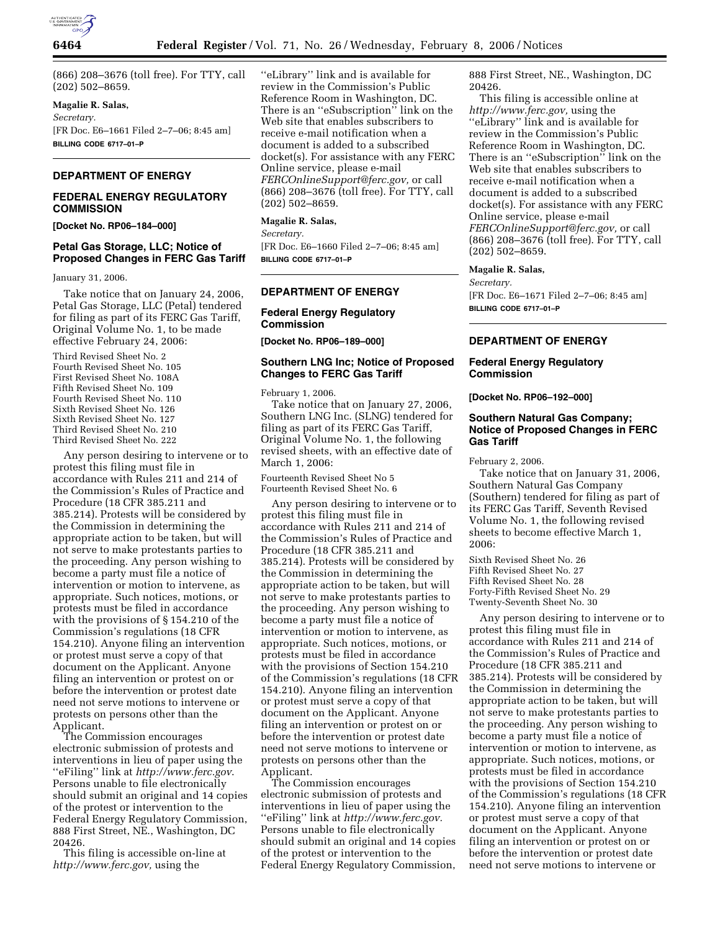

(866) 208–3676 (toll free). For TTY, call (202) 502–8659.

## **Magalie R. Salas,**

*Secretary.* 

[FR Doc. E6–1661 Filed 2–7–06; 8:45 am] **BILLING CODE 6717–01–P** 

# **DEPARTMENT OF ENERGY**

## **FEDERAL ENERGY REGULATORY COMMISSION**

**[Docket No. RP06–184–000]** 

# **Petal Gas Storage, LLC; Notice of Proposed Changes in FERC Gas Tariff**

January 31, 2006.

Take notice that on January 24, 2006, Petal Gas Storage, LLC (Petal) tendered for filing as part of its FERC Gas Tariff, Original Volume No. 1, to be made effective February 24, 2006:

Third Revised Sheet No. 2 Fourth Revised Sheet No. 105 First Revised Sheet No. 108A Fifth Revised Sheet No. 109 Fourth Revised Sheet No. 110 Sixth Revised Sheet No. 126 Sixth Revised Sheet No. 127 Third Revised Sheet No. 210 Third Revised Sheet No. 222

Any person desiring to intervene or to protest this filing must file in accordance with Rules 211 and 214 of the Commission's Rules of Practice and Procedure (18 CFR 385.211 and 385.214). Protests will be considered by the Commission in determining the appropriate action to be taken, but will not serve to make protestants parties to the proceeding. Any person wishing to become a party must file a notice of intervention or motion to intervene, as appropriate. Such notices, motions, or protests must be filed in accordance with the provisions of § 154.210 of the Commission's regulations (18 CFR 154.210). Anyone filing an intervention or protest must serve a copy of that document on the Applicant. Anyone filing an intervention or protest on or before the intervention or protest date need not serve motions to intervene or protests on persons other than the Applicant.

The Commission encourages electronic submission of protests and interventions in lieu of paper using the ''eFiling'' link at *http://www.ferc.gov*. Persons unable to file electronically should submit an original and 14 copies of the protest or intervention to the Federal Energy Regulatory Commission, 888 First Street, NE., Washington, DC 20426.

This filing is accessible on-line at *http://www.ferc.gov,* using the

''eLibrary'' link and is available for review in the Commission's Public Reference Room in Washington, DC. There is an ''eSubscription'' link on the Web site that enables subscribers to receive e-mail notification when a document is added to a subscribed docket(s). For assistance with any FERC Online service, please e-mail *FERCOnlineSupport@ferc.gov,* or call (866) 208–3676 (toll free). For TTY, call (202) 502–8659.

## **Magalie R. Salas,**

*Secretary.*  [FR Doc. E6–1660 Filed 2–7–06; 8:45 am] **BILLING CODE 6717–01–P** 

## **DEPARTMENT OF ENERGY**

## **Federal Energy Regulatory Commission**

**[Docket No. RP06–189–000]** 

### **Southern LNG Inc; Notice of Proposed Changes to FERC Gas Tariff**

February 1, 2006.

Take notice that on January 27, 2006, Southern LNG Inc. (SLNG) tendered for filing as part of its FERC Gas Tariff, Original Volume No. 1, the following revised sheets, with an effective date of March 1, 2006:

Fourteenth Revised Sheet No 5 Fourteenth Revised Sheet No. 6

Any person desiring to intervene or to protest this filing must file in accordance with Rules 211 and 214 of the Commission's Rules of Practice and Procedure (18 CFR 385.211 and 385.214). Protests will be considered by the Commission in determining the appropriate action to be taken, but will not serve to make protestants parties to the proceeding. Any person wishing to become a party must file a notice of intervention or motion to intervene, as appropriate. Such notices, motions, or protests must be filed in accordance with the provisions of Section 154.210 of the Commission's regulations (18 CFR 154.210). Anyone filing an intervention or protest must serve a copy of that document on the Applicant. Anyone filing an intervention or protest on or before the intervention or protest date need not serve motions to intervene or protests on persons other than the Applicant.

The Commission encourages electronic submission of protests and interventions in lieu of paper using the ''eFiling'' link at *http://www.ferc.gov.*  Persons unable to file electronically should submit an original and 14 copies of the protest or intervention to the Federal Energy Regulatory Commission,

888 First Street, NE., Washington, DC 20426.

This filing is accessible online at *http://www.ferc.gov,* using the ''eLibrary'' link and is available for review in the Commission's Public Reference Room in Washington, DC. There is an ''eSubscription'' link on the Web site that enables subscribers to receive e-mail notification when a document is added to a subscribed docket(s). For assistance with any FERC Online service, please e-mail *FERCOnlineSupport@ferc.gov,* or call (866) 208–3676 (toll free). For TTY, call (202) 502–8659.

#### **Magalie R. Salas,**

*Secretary.*  [FR Doc. E6–1671 Filed 2–7–06; 8:45 am] **BILLING CODE 6717–01–P** 

# **DEPARTMENT OF ENERGY**

## **Federal Energy Regulatory Commission**

**[Docket No. RP06–192–000]** 

## **Southern Natural Gas Company; Notice of Proposed Changes in FERC Gas Tariff**

February 2, 2006.

Take notice that on January 31, 2006, Southern Natural Gas Company (Southern) tendered for filing as part of its FERC Gas Tariff, Seventh Revised Volume No. 1, the following revised sheets to become effective March 1, 2006:

Sixth Revised Sheet No. 26 Fifth Revised Sheet No. 27 Fifth Revised Sheet No. 28 Forty-Fifth Revised Sheet No. 29 Twenty-Seventh Sheet No. 30

Any person desiring to intervene or to protest this filing must file in accordance with Rules 211 and 214 of the Commission's Rules of Practice and Procedure (18 CFR 385.211 and 385.214). Protests will be considered by the Commission in determining the appropriate action to be taken, but will not serve to make protestants parties to the proceeding. Any person wishing to become a party must file a notice of intervention or motion to intervene, as appropriate. Such notices, motions, or protests must be filed in accordance with the provisions of Section 154.210 of the Commission's regulations (18 CFR 154.210). Anyone filing an intervention or protest must serve a copy of that document on the Applicant. Anyone filing an intervention or protest on or before the intervention or protest date need not serve motions to intervene or